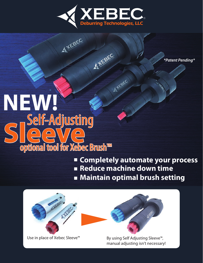

**ATEBEC** 

*\*Patent Pending\**

# ATEBEC **NEW!** Self-Adjusting **SLEEVE**<br>SLEEVE optional tool for Xebec Brush™

ATEBEC

■ **Completely automate your process** ■ **Reduce machine down time** ■ **Maintain optimal brush setting** 





Use in place of Xebec Sleeve<sup>™</sup> By using Self Adjusting Sleeve<sup>™</sup>, manual adjusting isn't necessary!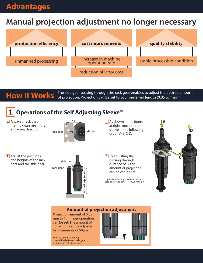### **Advantages**

### **Manual projection adjustment no longer necessary**



**How It Works** The side gear passing through the rack gear enables to adjust the desired amount **How It Works** of projection. Projection can be set to your preferred length (0.05 to 1 mm). of projection. Projection can be set to your preferred length (0.05 to 1 mm).

### **1 Operations of the Self Adjusting Sleeve**™

1 Always check that mating gears are in the engaging direction.



**3** As shown in the figure at right, move the sleeve in the following order: A-B-C-D.

2 Adjust the positions and heights of the rack gear and the side gear.



4 By adjusting the passing through distance of B, the amount of projection can be can be set.

\*Upper limit feeding speed for rack gear passing through time : F=10000 mm/min



#### **Amount of projection adjustment**

Projection amount of 0.05 mm to 1 mm per operation can be set. The amount of correction can be adjusted by increments of 50μm.

Refer to user manual for correlation between side gear and amount of projection

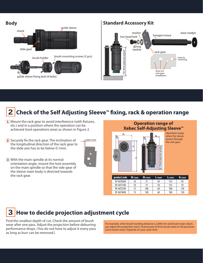



### **2 Check of the Self Adjusting Sleeve**™ **fixing, rack & operation range**

- 1 Mount the rack gear to avoid interference (with fixtures, etc.) and in a position where the operation can be achieved (tool operations area) as shown in Figure 2.
- Securely fix the rack gear. The inclination of **2** the longitudinal direction of the rack gear to the slide axis has to be below 0.1mm.
- 

below 0.1mm





Operation range when the sleeve passes through the rack gear.

With the main spindle at its normal **3** orientation angle, mount the tool assembly on the main spindle so that the side gear of the sleeve main body is directed towards the rack gear.

### **3 How to decide projection adjustment cycle**

Find the smallest depth of cut. Check the amount of brush wear after one pass. Adjust the projection before deburring performance drops. (You do not have to adjust it every pass as long as burr can be removed.)

For example, when brush traveling distance is 2,000 mm and brush wears 50μm, you adjust the projection every 10 processes (0.5mm brush wear) or 40 processes (2mm brush wear). Depends on your cycle time.

**product code W1 (mm) W2 (mm) L1 (mm) L2 (mm) H1 (mm)** XP-AUT06M 10 75 50 155 85 XP-AUT15M | 10 | 75 | 50 | 155 | 95 XP-AUT25M 15 100 60 180 130 XP-AUT40M 15 100 60 180 180